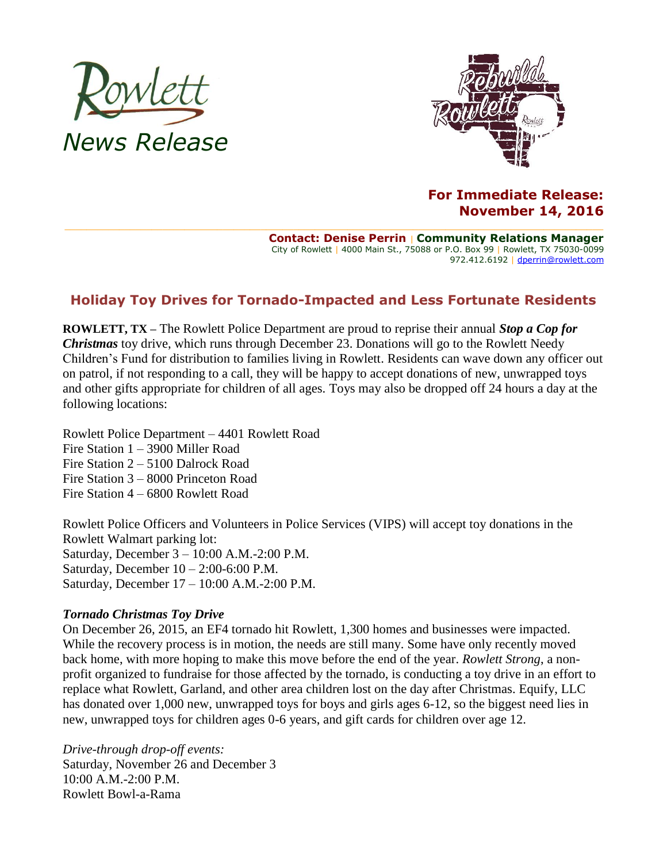



## **For Immediate Release: November 14, 2016**

**Contact: Denise Perrin** | **Community Relations Manager** City of Rowlett | 4000 Main St., 75088 or P.O. Box 99 | Rowlett, TX 75030-0099 972.412.6192 | [dperrin@rowlett.com](mailto:dperrin@rowlett.com)

## **Holiday Toy Drives for Tornado-Impacted and Less Fortunate Residents**

**ROWLETT, TX –** The Rowlett Police Department are proud to reprise their annual *Stop a Cop for Christmas* toy drive, which runs through December 23. Donations will go to the Rowlett Needy Children's Fund for distribution to families living in Rowlett. Residents can wave down any officer out on patrol, if not responding to a call, they will be happy to accept donations of new, unwrapped toys and other gifts appropriate for children of all ages. Toys may also be dropped off 24 hours a day at the following locations:

Rowlett Police Department – 4401 Rowlett Road Fire Station 1 – 3900 Miller Road Fire Station 2 – 5100 Dalrock Road Fire Station 3 – 8000 Princeton Road Fire Station 4 – 6800 Rowlett Road

Rowlett Police Officers and Volunteers in Police Services (VIPS) will accept toy donations in the Rowlett Walmart parking lot: Saturday, December 3 – 10:00 A.M.-2:00 P.M. Saturday, December 10 – 2:00-6:00 P.M. Saturday, December 17 – 10:00 A.M.-2:00 P.M.

## *Tornado Christmas Toy Drive*

On December 26, 2015, an EF4 tornado hit Rowlett, 1,300 homes and businesses were impacted. While the recovery process is in motion, the needs are still many. Some have only recently moved back home, with more hoping to make this move before the end of the year. *Rowlett Strong*, a nonprofit organized to fundraise for those affected by the tornado, is conducting a toy drive in an effort to replace what Rowlett, Garland, and other area children lost on the day after Christmas. Equify, LLC has donated over 1,000 new, unwrapped toys for boys and girls ages 6-12, so the biggest need lies in new, unwrapped toys for children ages 0-6 years, and gift cards for children over age 12.

*Drive-through drop-off events:* Saturday, November 26 and December 3 10:00 A.M.-2:00 P.M. Rowlett Bowl-a-Rama